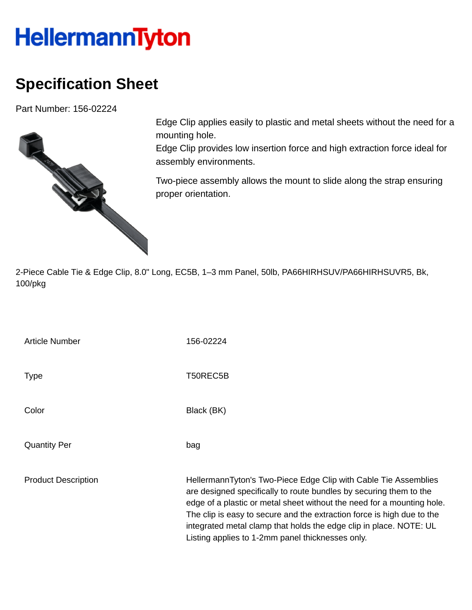## **HellermannTyton**

## **Specification Sheet**

Part Number: 156-02224



Edge Clip applies easily to plastic and metal sheets without the need for a mounting hole.

Edge Clip provides low insertion force and high extraction force ideal for assembly environments.

Two-piece assembly allows the mount to slide along the strap ensuring proper orientation.

2-Piece Cable Tie & Edge Clip, 8.0" Long, EC5B, 1–3 mm Panel, 50lb, PA66HIRHSUV/PA66HIRHSUVR5, Bk, 100/pkg

| <b>Article Number</b>      | 156-02224                                                                                                                                                             |
|----------------------------|-----------------------------------------------------------------------------------------------------------------------------------------------------------------------|
| <b>Type</b>                | T50REC5B                                                                                                                                                              |
| Color                      | Black (BK)                                                                                                                                                            |
| <b>Quantity Per</b>        | bag                                                                                                                                                                   |
| <b>Product Description</b> | HellermannTyton's Two-Piece<br>are designed specifically to ro<br>edge of a plastic or metal shee<br>The clip is easy to secure and<br>integrated metal clamn that ho |

Edge Clip with Cable Tie Assemblies ute bundles by securing them to the et without the need for a mounting hole. the extraction force is high due to the integrated metal clamp that holds the edge clip in place. NOTE: UL Listing applies to 1-2mm panel thicknesses only.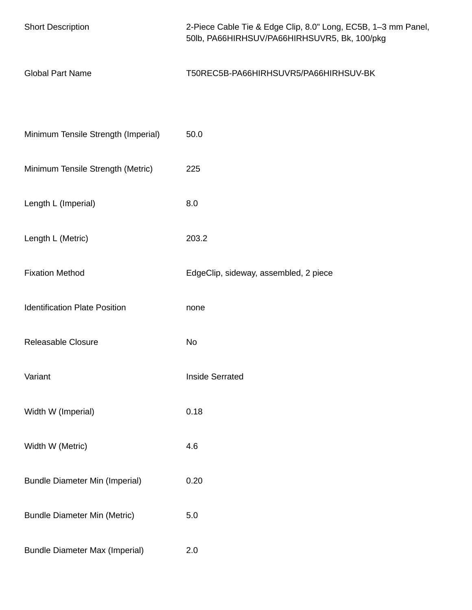| <b>Short Description</b>              | 2-Piece Cable Tie & Edge Clip, 8.0" Long, EC5B, 1-3 mm Panel,<br>50lb, PA66HIRHSUV/PA66HIRHSUVR5, Bk, 100/pkg |
|---------------------------------------|---------------------------------------------------------------------------------------------------------------|
| <b>Global Part Name</b>               | T50REC5B-PA66HIRHSUVR5/PA66HIRHSUV-BK                                                                         |
|                                       |                                                                                                               |
| Minimum Tensile Strength (Imperial)   | 50.0                                                                                                          |
| Minimum Tensile Strength (Metric)     | 225                                                                                                           |
| Length L (Imperial)                   | 8.0                                                                                                           |
| Length L (Metric)                     | 203.2                                                                                                         |
| <b>Fixation Method</b>                | EdgeClip, sideway, assembled, 2 piece                                                                         |
| <b>Identification Plate Position</b>  | none                                                                                                          |
| Releasable Closure                    | No                                                                                                            |
| Variant                               | <b>Inside Serrated</b>                                                                                        |
| Width W (Imperial)                    | 0.18                                                                                                          |
| Width W (Metric)                      | 4.6                                                                                                           |
| <b>Bundle Diameter Min (Imperial)</b> | 0.20                                                                                                          |
| <b>Bundle Diameter Min (Metric)</b>   | 5.0                                                                                                           |
| <b>Bundle Diameter Max (Imperial)</b> | 2.0                                                                                                           |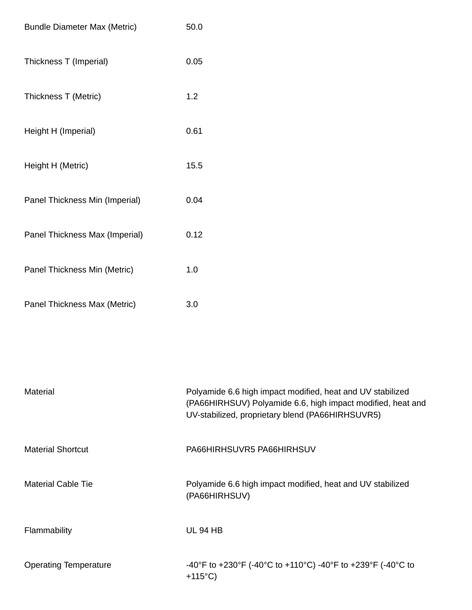| <b>Bundle Diameter Max (Metric)</b> | 50.0 |
|-------------------------------------|------|
| Thickness T (Imperial)              | 0.05 |
| Thickness T (Metric)                | 1.2  |
| Height H (Imperial)                 | 0.61 |
| Height H (Metric)                   | 15.5 |
| Panel Thickness Min (Imperial)      | 0.04 |
| Panel Thickness Max (Imperial)      | 0.12 |
| Panel Thickness Min (Metric)        | 1.0  |
| Panel Thickness Max (Metric)        | 3.0  |

| Material                     | Polyamide 6.6 high impact modified, heat and UV stabilized<br>(PA66HIRHSUV) Polyamide 6.6, high impact modified, heat and<br>UV-stabilized, proprietary blend (PA66HIRHSUVR5) |
|------------------------------|-------------------------------------------------------------------------------------------------------------------------------------------------------------------------------|
| <b>Material Shortcut</b>     | PA66HIRHSUVR5 PA66HIRHSUV                                                                                                                                                     |
| <b>Material Cable Tie</b>    | Polyamide 6.6 high impact modified, heat and UV stabilized<br>(PA66HIRHSUV)                                                                                                   |
| Flammability                 | <b>UL 94 HB</b>                                                                                                                                                               |
| <b>Operating Temperature</b> | -40°F to +230°F (-40°C to +110°C) -40°F to +239°F (-40°C to<br>$+115^{\circ}$ C)                                                                                              |